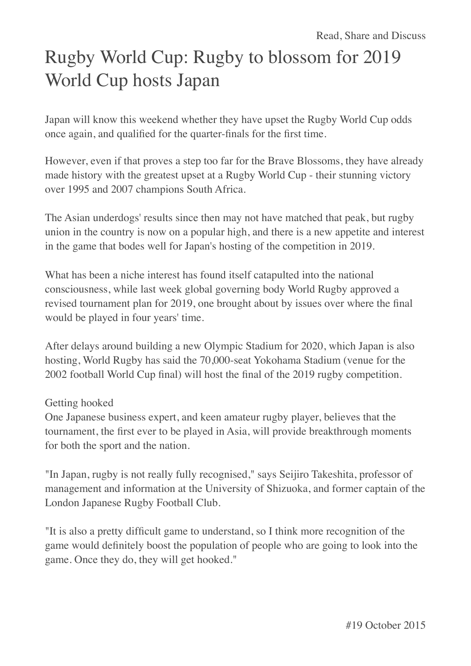# Rugby World Cup: Rugby to blossom for 2019 World Cup hosts Japan

Japan will know this weekend whether they have upset the Rugby World Cup odds once again, and qualified for the quarter-finals for the first time.

However, even if that proves a step too far for the Brave Blossoms, they have already made history with the greatest upset at a Rugby World Cup - their stunning victory over 1995 and 2007 champions South Africa.

The Asian underdogs' results since then may not have matched that peak, but rugby union in the country is now on a popular high, and there is a new appetite and interest in the game that bodes well for Japan's hosting of the competition in 2019.

What has been a niche interest has found itself catapulted into the national consciousness, while last week global governing body World Rugby approved a revised tournament plan for 2019, one brought about by issues over where the final would be played in four years' time.

After delays around building a new Olympic Stadium for 2020, which Japan is also hosting, World Rugby has said the 70,000-seat Yokohama Stadium (venue for the 2002 football World Cup final) will host the final of the 2019 rugby competition.

### Getting hooked

One Japanese business expert, and keen amateur rugby player, believes that the tournament, the first ever to be played in Asia, will provide breakthrough moments for both the sport and the nation.

"In Japan, rugby is not really fully recognised," says Seijiro Takeshita, professor of management and information at the University of Shizuoka, and former captain of the London Japanese Rugby Football Club.

"It is also a pretty difficult game to understand, so I think more recognition of the game would definitely boost the population of people who are going to look into the game. Once they do, they will get hooked."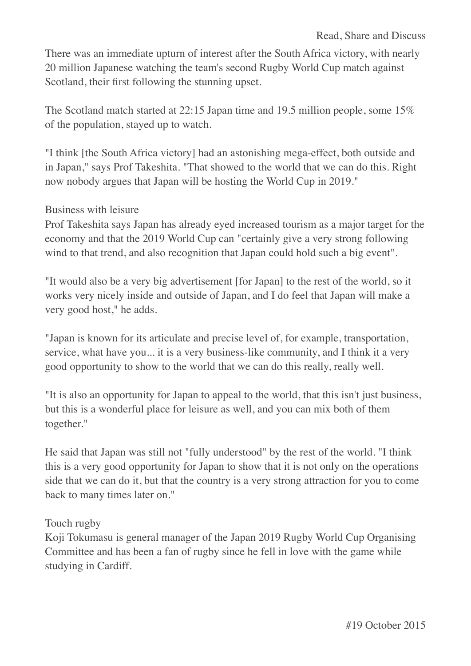There was an immediate upturn of interest after the South Africa victory, with nearly 20 million Japanese watching the team's second Rugby World Cup match against Scotland, their first following the stunning upset.

The Scotland match started at 22:15 Japan time and 19.5 million people, some 15% of the population, stayed up to watch.

"I think [the South Africa victory] had an astonishing mega-effect, both outside and in Japan," says Prof Takeshita. "That showed to the world that we can do this. Right now nobody argues that Japan will be hosting the World Cup in 2019."

## Business with leisure

Prof Takeshita says Japan has already eyed increased tourism as a major target for the economy and that the 2019 World Cup can "certainly give a very strong following wind to that trend, and also recognition that Japan could hold such a big event".

"It would also be a very big advertisement [for Japan] to the rest of the world, so it works very nicely inside and outside of Japan, and I do feel that Japan will make a very good host," he adds.

"Japan is known for its articulate and precise level of, for example, transportation, service, what have you... it is a very business-like community, and I think it a very good opportunity to show to the world that we can do this really, really well.

"It is also an opportunity for Japan to appeal to the world, that this isn't just business, but this is a wonderful place for leisure as well, and you can mix both of them together."

He said that Japan was still not "fully understood" by the rest of the world. "I think this is a very good opportunity for Japan to show that it is not only on the operations side that we can do it, but that the country is a very strong attraction for you to come back to many times later on."

# Touch rugby

Koji Tokumasu is general manager of the Japan 2019 Rugby World Cup Organising Committee and has been a fan of rugby since he fell in love with the game while studying in Cardiff.